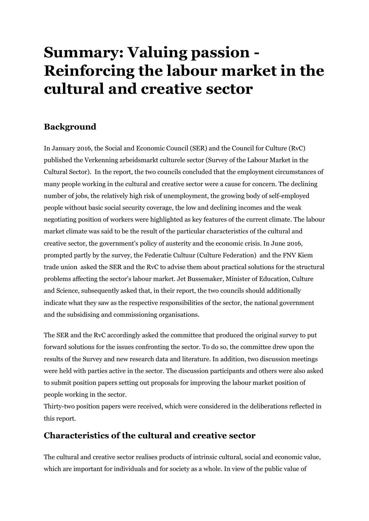# **Summary: Valuing passion - Reinforcing the labour market in the cultural and creative sector**

# **Background**

In January 2016, the Social and Economic Council (SER) and the Council for Culture (RvC) published the Verkenning arbeidsmarkt culturele sector (Survey of the Labour Market in the Cultural Sector). In the report, the two councils concluded that the employment circumstances of many people working in the cultural and creative sector were a cause for concern. The declining number of jobs, the relatively high risk of unemployment, the growing body of self-employed people without basic social security coverage, the low and declining incomes and the weak negotiating position of workers were highlighted as key features of the current climate. The labour market climate was said to be the result of the particular characteristics of the cultural and creative sector, the government's policy of austerity and the economic crisis. In June 2016, prompted partly by the survey, the Federatie Cultuur (Culture Federation) and the FNV Kiem trade union asked the SER and the RvC to advise them about practical solutions for the structural problems affecting the sector's labour market. Jet Bussemaker, Minister of Education, Culture and Science, subsequently asked that, in their report, the two councils should additionally indicate what they saw as the respective responsibilities of the sector, the national government and the subsidising and commissioning organisations.

The SER and the RvC accordingly asked the committee that produced the original survey to put forward solutions for the issues confronting the sector. To do so, the committee drew upon the results of the Survey and new research data and literature. In addition, two discussion meetings were held with parties active in the sector. The discussion participants and others were also asked to submit position papers setting out proposals for improving the labour market position of people working in the sector.

Thirty-two position papers were received, which were considered in the deliberations reflected in this report.

## **Characteristics of the cultural and creative sector**

The cultural and creative sector realises products of intrinsic cultural, social and economic value, which are important for individuals and for society as a whole. In view of the public value of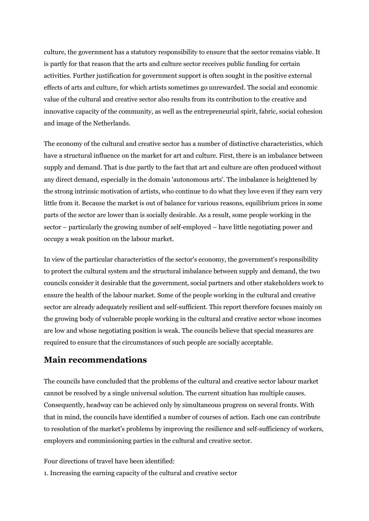culture, the government has a statutory responsibility to ensure that the sector remains viable. It is partly for that reason that the arts and culture sector receives public funding for certain activities. Further justification for government support is often sought in the positive external effects of arts and culture, for which artists sometimes go unrewarded. The social and economic value of the cultural and creative sector also results from its contribution to the creative and innovative capacity of the community, as well as the entrepreneurial spirit, fabric, social cohesion and image of the Netherlands.

The economy of the cultural and creative sector has a number of distinctive characteristics, which have a structural influence on the market for art and culture. First, there is an imbalance between supply and demand. That is due partly to the fact that art and culture are often produced without any direct demand, especially in the domain 'autonomous arts'. The imbalance is heightened by the strong intrinsic motivation of artists, who continue to do what they love even if they earn very little from it. Because the market is out of balance for various reasons, equilibrium prices in some parts of the sector are lower than is socially desirable. As a result, some people working in the sector – particularly the growing number of self-employed – have little negotiating power and occupy a weak position on the labour market.

In view of the particular characteristics of the sector's economy, the government's responsibility to protect the cultural system and the structural imbalance between supply and demand, the two councils consider it desirable that the government, social partners and other stakeholders work to ensure the health of the labour market. Some of the people working in the cultural and creative sector are already adequately resilient and self-sufficient. This report therefore focuses mainly on the growing body of vulnerable people working in the cultural and creative sector whose incomes are low and whose negotiating position is weak. The councils believe that special measures are required to ensure that the circumstances of such people are socially acceptable.

## **Main recommendations**

The councils have concluded that the problems of the cultural and creative sector labour market cannot be resolved by a single universal solution. The current situation has multiple causes. Consequently, headway can be achieved only by simultaneous progress on several fronts. With that in mind, the councils have identified a number of courses of action. Each one can contribute to resolution of the market's problems by improving the resilience and self-sufficiency of workers, employers and commissioning parties in the cultural and creative sector.

Four directions of travel have been identified:

1. Increasing the earning capacity of the cultural and creative sector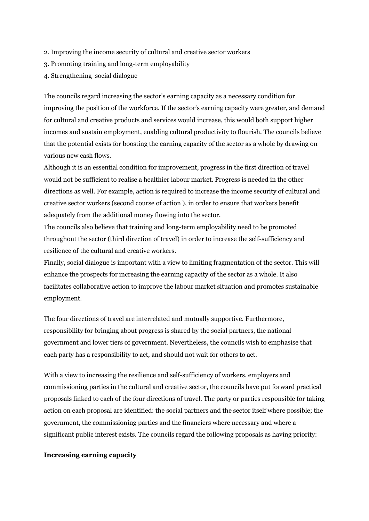- 2. Improving the income security of cultural and creative sector workers
- 3. Promoting training and long-term employability
- 4. Strengthening social dialogue

The councils regard increasing the sector's earning capacity as a necessary condition for improving the position of the workforce. If the sector's earning capacity were greater, and demand for cultural and creative products and services would increase, this would both support higher incomes and sustain employment, enabling cultural productivity to flourish. The councils believe that the potential exists for boosting the earning capacity of the sector as a whole by drawing on various new cash flows.

Although it is an essential condition for improvement, progress in the first direction of travel would not be sufficient to realise a healthier labour market. Progress is needed in the other directions as well. For example, action is required to increase the income security of cultural and creative sector workers (second course of action ), in order to ensure that workers benefit adequately from the additional money flowing into the sector.

The councils also believe that training and long-term employability need to be promoted throughout the sector (third direction of travel) in order to increase the self-sufficiency and resilience of the cultural and creative workers.

Finally, social dialogue is important with a view to limiting fragmentation of the sector. This will enhance the prospects for increasing the earning capacity of the sector as a whole. It also facilitates collaborative action to improve the labour market situation and promotes sustainable employment.

The four directions of travel are interrelated and mutually supportive. Furthermore, responsibility for bringing about progress is shared by the social partners, the national government and lower tiers of government. Nevertheless, the councils wish to emphasise that each party has a responsibility to act, and should not wait for others to act.

With a view to increasing the resilience and self-sufficiency of workers, employers and commissioning parties in the cultural and creative sector, the councils have put forward practical proposals linked to each of the four directions of travel. The party or parties responsible for taking action on each proposal are identified: the social partners and the sector itself where possible; the government, the commissioning parties and the financiers where necessary and where a significant public interest exists. The councils regard the following proposals as having priority:

#### **Increasing earning capacity**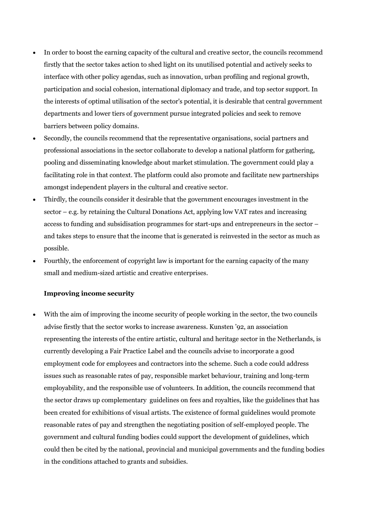- In order to boost the earning capacity of the cultural and creative sector, the councils recommend firstly that the sector takes action to shed light on its unutilised potential and actively seeks to interface with other policy agendas, such as innovation, urban profiling and regional growth, participation and social cohesion, international diplomacy and trade, and top sector support. In the interests of optimal utilisation of the sector's potential, it is desirable that central government departments and lower tiers of government pursue integrated policies and seek to remove barriers between policy domains.
- Secondly, the councils recommend that the representative organisations, social partners and professional associations in the sector collaborate to develop a national platform for gathering, pooling and disseminating knowledge about market stimulation. The government could play a facilitating role in that context. The platform could also promote and facilitate new partnerships amongst independent players in the cultural and creative sector.
- Thirdly, the councils consider it desirable that the government encourages investment in the sector – e.g. by retaining the Cultural Donations Act, applying low VAT rates and increasing access to funding and subsidisation programmes for start-ups and entrepreneurs in the sector – and takes steps to ensure that the income that is generated is reinvested in the sector as much as possible.
- Fourthly, the enforcement of copyright law is important for the earning capacity of the many small and medium-sized artistic and creative enterprises.

### **Improving income security**

 With the aim of improving the income security of people working in the sector, the two councils advise firstly that the sector works to increase awareness. Kunsten '92, an association representing the interests of the entire artistic, cultural and heritage sector in the Netherlands, is currently developing a Fair Practice Label and the councils advise to incorporate a good employment code for employees and contractors into the scheme. Such a code could address issues such as reasonable rates of pay, responsible market behaviour, training and long-term employability, and the responsible use of volunteers. In addition, the councils recommend that the sector draws up complementary guidelines on fees and royalties, like the guidelines that has been created for exhibitions of visual artists. The existence of formal guidelines would promote reasonable rates of pay and strengthen the negotiating position of self-employed people. The government and cultural funding bodies could support the development of guidelines, which could then be cited by the national, provincial and municipal governments and the funding bodies in the conditions attached to grants and subsidies.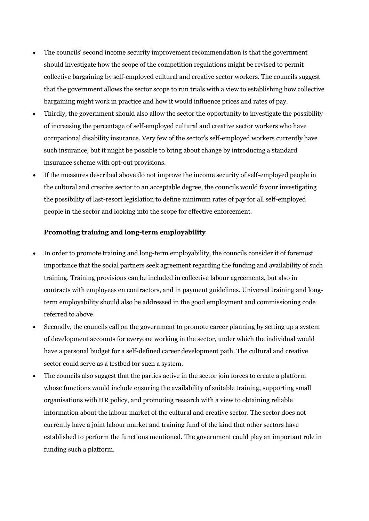- The councils' second income security improvement recommendation is that the government should investigate how the scope of the competition regulations might be revised to permit collective bargaining by self-employed cultural and creative sector workers. The councils suggest that the government allows the sector scope to run trials with a view to establishing how collective bargaining might work in practice and how it would influence prices and rates of pay.
- Thirdly, the government should also allow the sector the opportunity to investigate the possibility of increasing the percentage of self-employed cultural and creative sector workers who have occupational disability insurance. Very few of the sector's self-employed workers currently have such insurance, but it might be possible to bring about change by introducing a standard insurance scheme with opt-out provisions.
- If the measures described above do not improve the income security of self-employed people in the cultural and creative sector to an acceptable degree, the councils would favour investigating the possibility of last-resort legislation to define minimum rates of pay for all self-employed people in the sector and looking into the scope for effective enforcement.

#### **Promoting training and long-term employability**

- In order to promote training and long-term employability, the councils consider it of foremost importance that the social partners seek agreement regarding the funding and availability of such training. Training provisions can be included in collective labour agreements, but also in contracts with employees en contractors, and in payment guidelines. Universal training and longterm employability should also be addressed in the good employment and commissioning code referred to above.
- Secondly, the councils call on the government to promote career planning by setting up a system of development accounts for everyone working in the sector, under which the individual would have a personal budget for a self-defined career development path. The cultural and creative sector could serve as a testbed for such a system.
- The councils also suggest that the parties active in the sector join forces to create a platform whose functions would include ensuring the availability of suitable training, supporting small organisations with HR policy, and promoting research with a view to obtaining reliable information about the labour market of the cultural and creative sector. The sector does not currently have a joint labour market and training fund of the kind that other sectors have established to perform the functions mentioned. The government could play an important role in funding such a platform.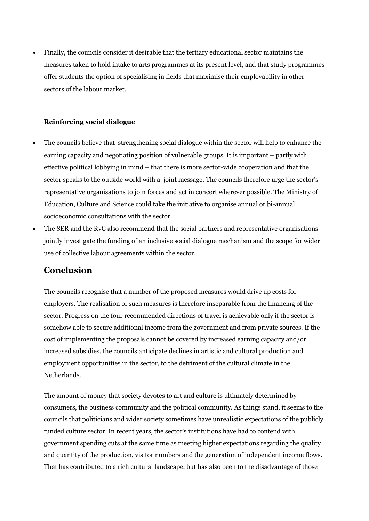Finally, the councils consider it desirable that the tertiary educational sector maintains the measures taken to hold intake to arts programmes at its present level, and that study programmes offer students the option of specialising in fields that maximise their employability in other sectors of the labour market.

#### **Reinforcing social dialogue**

- The councils believe that strengthening social dialogue within the sector will help to enhance the earning capacity and negotiating position of vulnerable groups. It is important – partly with effective political lobbying in mind – that there is more sector-wide cooperation and that the sector speaks to the outside world with a joint message. The councils therefore urge the sector's representative organisations to join forces and act in concert wherever possible. The Ministry of Education, Culture and Science could take the initiative to organise annual or bi-annual socioeconomic consultations with the sector.
- The SER and the RvC also recommend that the social partners and representative organisations jointly investigate the funding of an inclusive social dialogue mechanism and the scope for wider use of collective labour agreements within the sector.

## **Conclusion**

The councils recognise that a number of the proposed measures would drive up costs for employers. The realisation of such measures is therefore inseparable from the financing of the sector. Progress on the four recommended directions of travel is achievable only if the sector is somehow able to secure additional income from the government and from private sources. If the cost of implementing the proposals cannot be covered by increased earning capacity and/or increased subsidies, the councils anticipate declines in artistic and cultural production and employment opportunities in the sector, to the detriment of the cultural climate in the Netherlands.

The amount of money that society devotes to art and culture is ultimately determined by consumers, the business community and the political community. As things stand, it seems to the councils that politicians and wider society sometimes have unrealistic expectations of the publicly funded culture sector. In recent years, the sector's institutions have had to contend with government spending cuts at the same time as meeting higher expectations regarding the quality and quantity of the production, visitor numbers and the generation of independent income flows. That has contributed to a rich cultural landscape, but has also been to the disadvantage of those